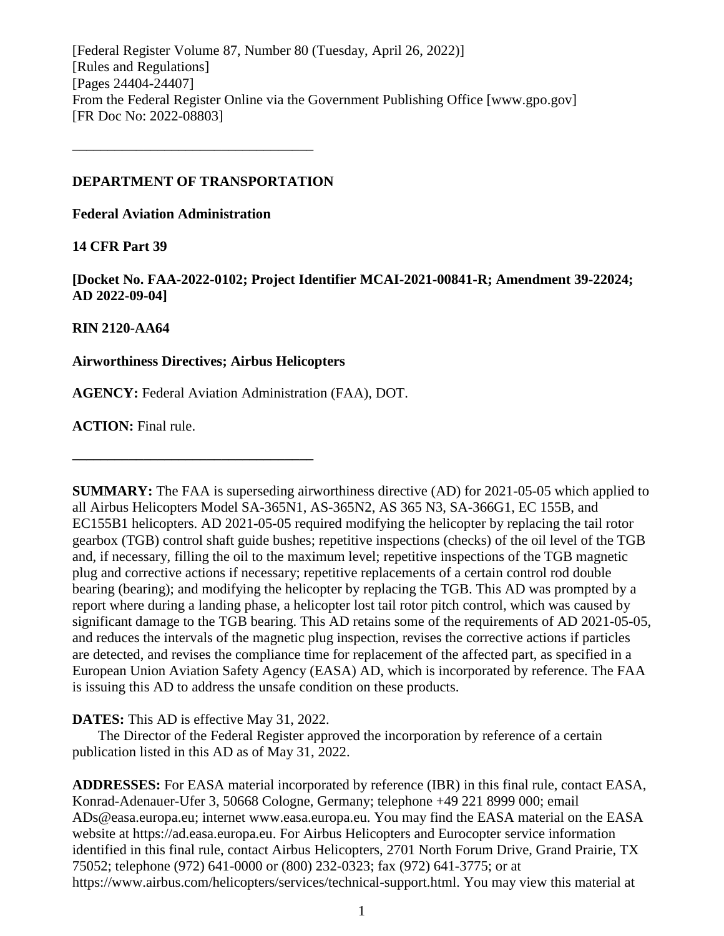[Federal Register Volume 87, Number 80 (Tuesday, April 26, 2022)] [Rules and Regulations] [Pages 24404-24407] From the Federal Register Online via the Government Publishing Office [www.gpo.gov] [FR Doc No: 2022-08803]

### **DEPARTMENT OF TRANSPORTATION**

**––––––––––––––––––––––––––––––––––**

**Federal Aviation Administration**

# **14 CFR Part 39**

**[Docket No. FAA-2022-0102; Project Identifier MCAI-2021-00841-R; Amendment 39-22024; AD 2022-09-04]**

# **RIN 2120-AA64**

# **Airworthiness Directives; Airbus Helicopters**

**––––––––––––––––––––––––––––––––––**

**AGENCY:** Federal Aviation Administration (FAA), DOT.

**ACTION:** Final rule.

**SUMMARY:** The FAA is superseding airworthiness directive (AD) for 2021-05-05 which applied to all Airbus Helicopters Model SA-365N1, AS-365N2, AS 365 N3, SA-366G1, EC 155B, and EC155B1 helicopters. AD 2021-05-05 required modifying the helicopter by replacing the tail rotor gearbox (TGB) control shaft guide bushes; repetitive inspections (checks) of the oil level of the TGB and, if necessary, filling the oil to the maximum level; repetitive inspections of the TGB magnetic plug and corrective actions if necessary; repetitive replacements of a certain control rod double bearing (bearing); and modifying the helicopter by replacing the TGB. This AD was prompted by a report where during a landing phase, a helicopter lost tail rotor pitch control, which was caused by significant damage to the TGB bearing. This AD retains some of the requirements of AD 2021-05-05, and reduces the intervals of the magnetic plug inspection, revises the corrective actions if particles are detected, and revises the compliance time for replacement of the affected part, as specified in a European Union Aviation Safety Agency (EASA) AD, which is incorporated by reference. The FAA is issuing this AD to address the unsafe condition on these products.

# **DATES:** This AD is effective May 31, 2022.

The Director of the Federal Register approved the incorporation by reference of a certain publication listed in this AD as of May 31, 2022.

**ADDRESSES:** For EASA material incorporated by reference (IBR) in this final rule, contact EASA, Konrad-Adenauer-Ufer 3, 50668 Cologne, Germany; telephone +49 221 8999 000; email ADs@easa.europa.eu; internet www.easa.europa.eu. You may find the EASA material on the EASA website at https://ad.easa.europa.eu. For Airbus Helicopters and Eurocopter service information identified in this final rule, contact Airbus Helicopters, 2701 North Forum Drive, Grand Prairie, TX 75052; telephone (972) 641-0000 or (800) 232-0323; fax (972) 641-3775; or at https://www.airbus.com/helicopters/services/technical-support.html. You may view this material at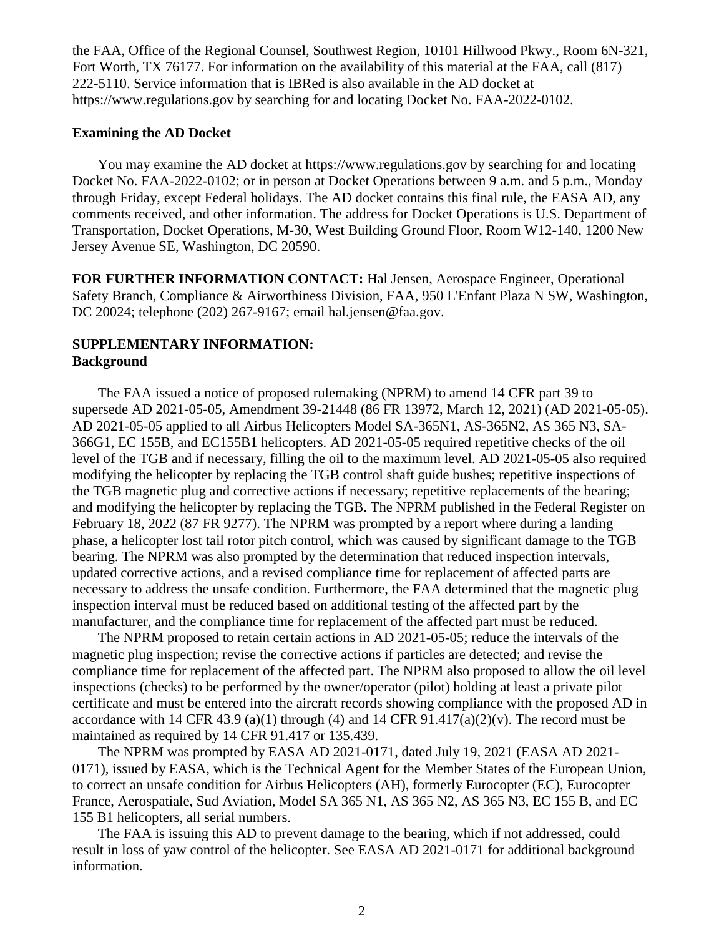the FAA, Office of the Regional Counsel, Southwest Region, 10101 Hillwood Pkwy., Room 6N-321, Fort Worth, TX 76177. For information on the availability of this material at the FAA, call (817) 222-5110. Service information that is IBRed is also available in the AD docket at https://www.regulations.gov by searching for and locating Docket No. FAA-2022-0102.

### **Examining the AD Docket**

You may examine the AD docket at https://www.regulations.gov by searching for and locating Docket No. FAA-2022-0102; or in person at Docket Operations between 9 a.m. and 5 p.m., Monday through Friday, except Federal holidays. The AD docket contains this final rule, the EASA AD, any comments received, and other information. The address for Docket Operations is U.S. Department of Transportation, Docket Operations, M-30, West Building Ground Floor, Room W12-140, 1200 New Jersey Avenue SE, Washington, DC 20590.

**FOR FURTHER INFORMATION CONTACT:** Hal Jensen, Aerospace Engineer, Operational Safety Branch, Compliance & Airworthiness Division, FAA, 950 L'Enfant Plaza N SW, Washington, DC 20024; telephone (202) 267-9167; email hal.jensen@faa.gov.

# **SUPPLEMENTARY INFORMATION: Background**

The FAA issued a notice of proposed rulemaking (NPRM) to amend 14 CFR part 39 to supersede AD 2021-05-05, Amendment 39-21448 (86 FR 13972, March 12, 2021) (AD 2021-05-05). AD 2021-05-05 applied to all Airbus Helicopters Model SA-365N1, AS-365N2, AS 365 N3, SA-366G1, EC 155B, and EC155B1 helicopters. AD 2021-05-05 required repetitive checks of the oil level of the TGB and if necessary, filling the oil to the maximum level. AD 2021-05-05 also required modifying the helicopter by replacing the TGB control shaft guide bushes; repetitive inspections of the TGB magnetic plug and corrective actions if necessary; repetitive replacements of the bearing; and modifying the helicopter by replacing the TGB. The NPRM published in the Federal Register on February 18, 2022 (87 FR 9277). The NPRM was prompted by a report where during a landing phase, a helicopter lost tail rotor pitch control, which was caused by significant damage to the TGB bearing. The NPRM was also prompted by the determination that reduced inspection intervals, updated corrective actions, and a revised compliance time for replacement of affected parts are necessary to address the unsafe condition. Furthermore, the FAA determined that the magnetic plug inspection interval must be reduced based on additional testing of the affected part by the manufacturer, and the compliance time for replacement of the affected part must be reduced.

The NPRM proposed to retain certain actions in AD 2021-05-05; reduce the intervals of the magnetic plug inspection; revise the corrective actions if particles are detected; and revise the compliance time for replacement of the affected part. The NPRM also proposed to allow the oil level inspections (checks) to be performed by the owner/operator (pilot) holding at least a private pilot certificate and must be entered into the aircraft records showing compliance with the proposed AD in accordance with 14 CFR 43.9 (a)(1) through (4) and 14 CFR 91.417(a)(2)(v). The record must be maintained as required by 14 CFR 91.417 or 135.439.

The NPRM was prompted by EASA AD 2021-0171, dated July 19, 2021 (EASA AD 2021- 0171), issued by EASA, which is the Technical Agent for the Member States of the European Union, to correct an unsafe condition for Airbus Helicopters (AH), formerly Eurocopter (EC), Eurocopter France, Aerospatiale, Sud Aviation, Model SA 365 N1, AS 365 N2, AS 365 N3, EC 155 B, and EC 155 B1 helicopters, all serial numbers.

The FAA is issuing this AD to prevent damage to the bearing, which if not addressed, could result in loss of yaw control of the helicopter. See EASA AD 2021-0171 for additional background information.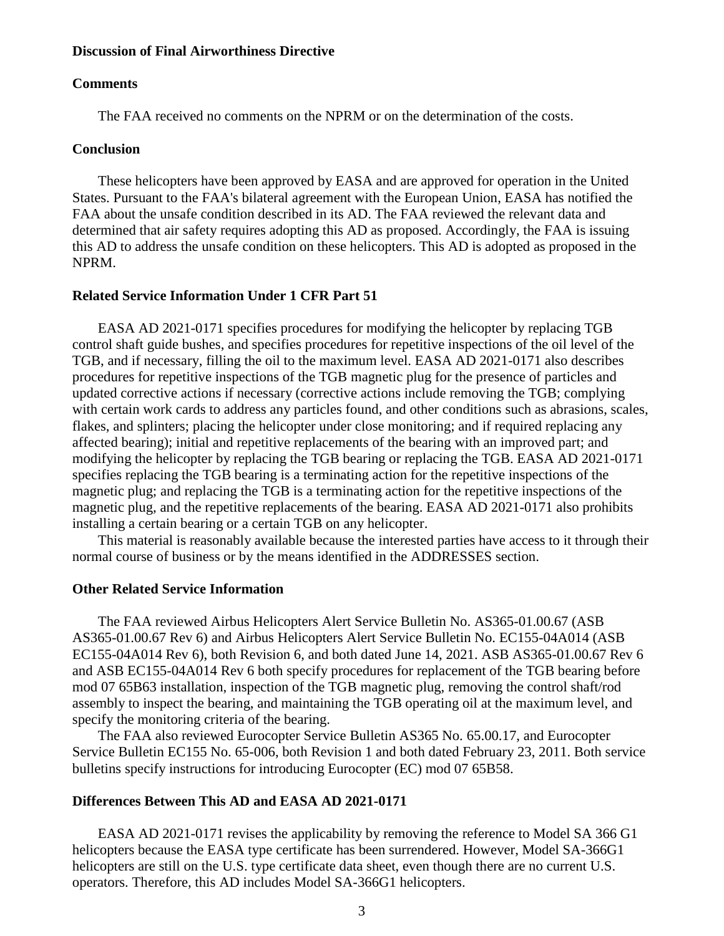#### **Discussion of Final Airworthiness Directive**

#### **Comments**

The FAA received no comments on the NPRM or on the determination of the costs.

### **Conclusion**

These helicopters have been approved by EASA and are approved for operation in the United States. Pursuant to the FAA's bilateral agreement with the European Union, EASA has notified the FAA about the unsafe condition described in its AD. The FAA reviewed the relevant data and determined that air safety requires adopting this AD as proposed. Accordingly, the FAA is issuing this AD to address the unsafe condition on these helicopters. This AD is adopted as proposed in the NPRM.

#### **Related Service Information Under 1 CFR Part 51**

EASA AD 2021-0171 specifies procedures for modifying the helicopter by replacing TGB control shaft guide bushes, and specifies procedures for repetitive inspections of the oil level of the TGB, and if necessary, filling the oil to the maximum level. EASA AD 2021-0171 also describes procedures for repetitive inspections of the TGB magnetic plug for the presence of particles and updated corrective actions if necessary (corrective actions include removing the TGB; complying with certain work cards to address any particles found, and other conditions such as abrasions, scales, flakes, and splinters; placing the helicopter under close monitoring; and if required replacing any affected bearing); initial and repetitive replacements of the bearing with an improved part; and modifying the helicopter by replacing the TGB bearing or replacing the TGB. EASA AD 2021-0171 specifies replacing the TGB bearing is a terminating action for the repetitive inspections of the magnetic plug; and replacing the TGB is a terminating action for the repetitive inspections of the magnetic plug, and the repetitive replacements of the bearing. EASA AD 2021-0171 also prohibits installing a certain bearing or a certain TGB on any helicopter.

This material is reasonably available because the interested parties have access to it through their normal course of business or by the means identified in the ADDRESSES section.

#### **Other Related Service Information**

The FAA reviewed Airbus Helicopters Alert Service Bulletin No. AS365-01.00.67 (ASB AS365-01.00.67 Rev 6) and Airbus Helicopters Alert Service Bulletin No. EC155-04A014 (ASB EC155-04A014 Rev 6), both Revision 6, and both dated June 14, 2021. ASB AS365-01.00.67 Rev 6 and ASB EC155-04A014 Rev 6 both specify procedures for replacement of the TGB bearing before mod 07 65B63 installation, inspection of the TGB magnetic plug, removing the control shaft/rod assembly to inspect the bearing, and maintaining the TGB operating oil at the maximum level, and specify the monitoring criteria of the bearing.

The FAA also reviewed Eurocopter Service Bulletin AS365 No. 65.00.17, and Eurocopter Service Bulletin EC155 No. 65-006, both Revision 1 and both dated February 23, 2011. Both service bulletins specify instructions for introducing Eurocopter (EC) mod 07 65B58.

### **Differences Between This AD and EASA AD 2021-0171**

EASA AD 2021-0171 revises the applicability by removing the reference to Model SA 366 G1 helicopters because the EASA type certificate has been surrendered. However, Model SA-366G1 helicopters are still on the U.S. type certificate data sheet, even though there are no current U.S. operators. Therefore, this AD includes Model SA-366G1 helicopters.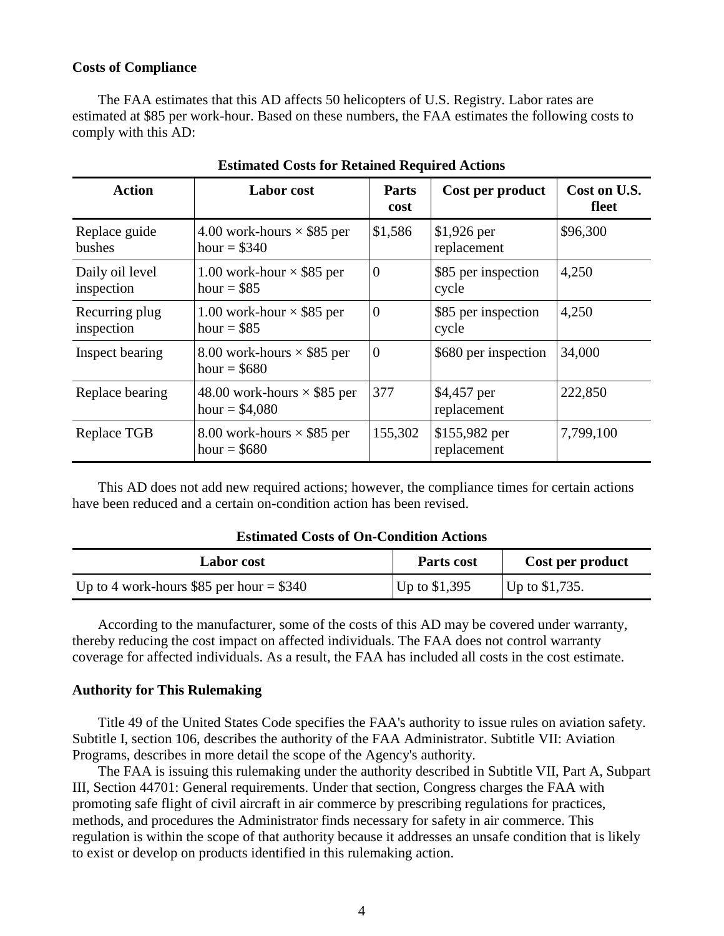### **Costs of Compliance**

The FAA estimates that this AD affects 50 helicopters of U.S. Registry. Labor rates are estimated at \$85 per work-hour. Based on these numbers, the FAA estimates the following costs to comply with this AD:

| <b>Action</b>                 | <b>Labor</b> cost                                     | <b>Parts</b><br>cost | Cost per product             | Cost on U.S.<br>fleet |
|-------------------------------|-------------------------------------------------------|----------------------|------------------------------|-----------------------|
| Replace guide<br>bushes       | 4.00 work-hours $\times$ \$85 per<br>hour = $$340$    | \$1,586              | $$1,926$ per<br>replacement  | \$96,300              |
| Daily oil level<br>inspection | 1.00 work-hour $\times$ \$85 per<br>hour = $$85$      | $\theta$             | \$85 per inspection<br>cycle | 4,250                 |
| Recurring plug<br>inspection  | 1.00 work-hour $\times$ \$85 per<br>hour = $$85$      | $\overline{0}$       | \$85 per inspection<br>cycle | 4,250                 |
| Inspect bearing               | 8.00 work-hours $\times$ \$85 per<br>hour = $$680$    | $\theta$             | \$680 per inspection         | 34,000                |
| Replace bearing               | 48.00 work-hours $\times$ \$85 per<br>hour = $$4,080$ | 377                  | \$4,457 per<br>replacement   | 222,850               |
| Replace TGB                   | 8.00 work-hours $\times$ \$85 per<br>hour = $$680$    | 155,302              | \$155,982 per<br>replacement | 7,799,100             |

**Estimated Costs for Retained Required Actions**

This AD does not add new required actions; however, the compliance times for certain actions have been reduced and a certain on-condition action has been revised.

#### **Estimated Costs of On-Condition Actions**

| <b>Labor cost</b>                         | Parts cost     | Cost per product |
|-------------------------------------------|----------------|------------------|
| Up to 4 work-hours \$85 per hour $= $340$ | Up to $$1,395$ | Up to $$1,735$ . |

According to the manufacturer, some of the costs of this AD may be covered under warranty, thereby reducing the cost impact on affected individuals. The FAA does not control warranty coverage for affected individuals. As a result, the FAA has included all costs in the cost estimate.

#### **Authority for This Rulemaking**

Title 49 of the United States Code specifies the FAA's authority to issue rules on aviation safety. Subtitle I, section 106, describes the authority of the FAA Administrator. Subtitle VII: Aviation Programs, describes in more detail the scope of the Agency's authority.

The FAA is issuing this rulemaking under the authority described in Subtitle VII, Part A, Subpart III, Section 44701: General requirements. Under that section, Congress charges the FAA with promoting safe flight of civil aircraft in air commerce by prescribing regulations for practices, methods, and procedures the Administrator finds necessary for safety in air commerce. This regulation is within the scope of that authority because it addresses an unsafe condition that is likely to exist or develop on products identified in this rulemaking action.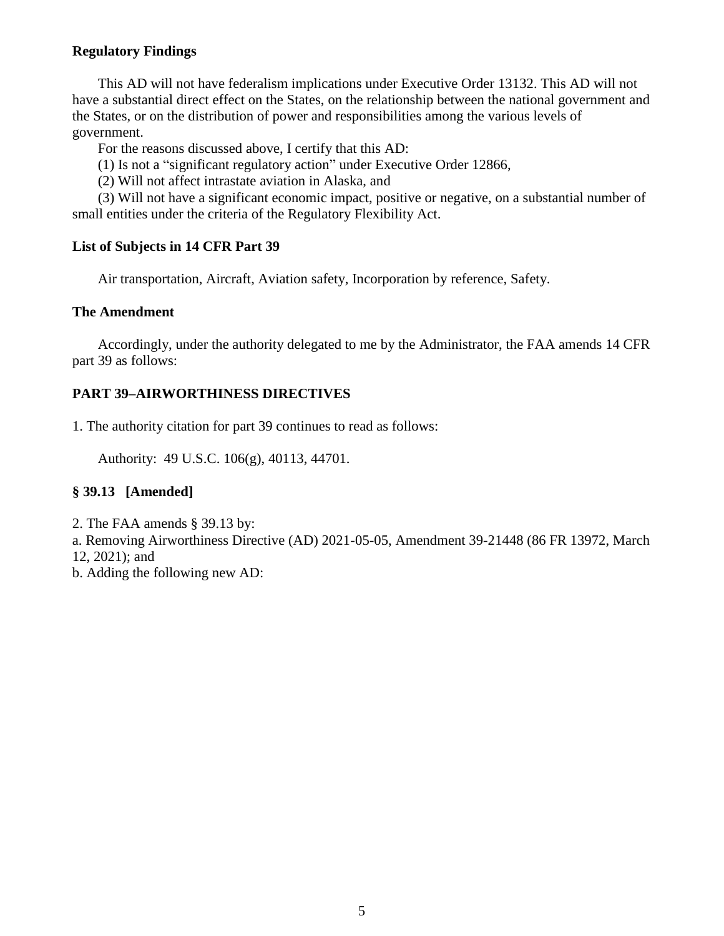# **Regulatory Findings**

This AD will not have federalism implications under Executive Order 13132. This AD will not have a substantial direct effect on the States, on the relationship between the national government and the States, or on the distribution of power and responsibilities among the various levels of government.

For the reasons discussed above, I certify that this AD:

(1) Is not a "significant regulatory action" under Executive Order 12866,

(2) Will not affect intrastate aviation in Alaska, and

(3) Will not have a significant economic impact, positive or negative, on a substantial number of small entities under the criteria of the Regulatory Flexibility Act.

# **List of Subjects in 14 CFR Part 39**

Air transportation, Aircraft, Aviation safety, Incorporation by reference, Safety.

# **The Amendment**

Accordingly, under the authority delegated to me by the Administrator, the FAA amends 14 CFR part 39 as follows:

# **PART 39–AIRWORTHINESS DIRECTIVES**

1. The authority citation for part 39 continues to read as follows:

Authority: 49 U.S.C. 106(g), 40113, 44701.

# **§ 39.13 [Amended]**

2. The FAA amends § 39.13 by:

a. Removing Airworthiness Directive (AD) 2021-05-05, Amendment 39-21448 (86 FR 13972, March 12, 2021); and

b. Adding the following new AD: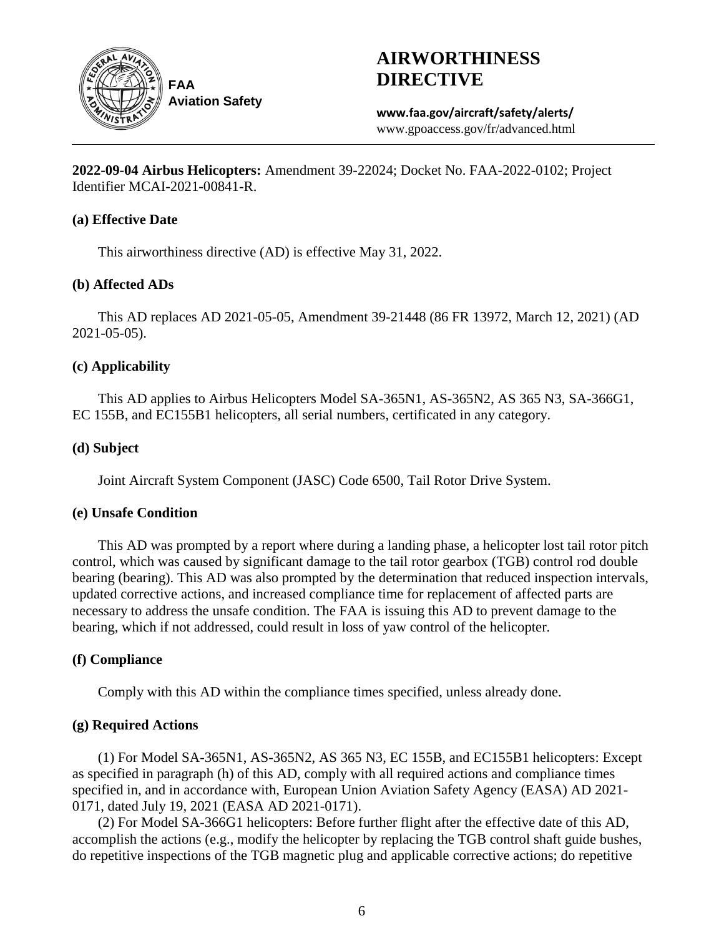

# **AIRWORTHINESS DIRECTIVE**

**www.faa.gov/aircraft/safety/alerts/** www.gpoaccess.gov/fr/advanced.html

**2022-09-04 Airbus Helicopters:** Amendment 39-22024; Docket No. FAA-2022-0102; Project Identifier MCAI-2021-00841-R.

# **(a) Effective Date**

This airworthiness directive (AD) is effective May 31, 2022.

# **(b) Affected ADs**

This AD replaces AD 2021-05-05, Amendment 39-21448 (86 FR 13972, March 12, 2021) (AD 2021-05-05).

# **(c) Applicability**

This AD applies to Airbus Helicopters Model SA-365N1, AS-365N2, AS 365 N3, SA-366G1, EC 155B, and EC155B1 helicopters, all serial numbers, certificated in any category.

# **(d) Subject**

Joint Aircraft System Component (JASC) Code 6500, Tail Rotor Drive System.

# **(e) Unsafe Condition**

This AD was prompted by a report where during a landing phase, a helicopter lost tail rotor pitch control, which was caused by significant damage to the tail rotor gearbox (TGB) control rod double bearing (bearing). This AD was also prompted by the determination that reduced inspection intervals, updated corrective actions, and increased compliance time for replacement of affected parts are necessary to address the unsafe condition. The FAA is issuing this AD to prevent damage to the bearing, which if not addressed, could result in loss of yaw control of the helicopter.

# **(f) Compliance**

Comply with this AD within the compliance times specified, unless already done.

# **(g) Required Actions**

(1) For Model SA-365N1, AS-365N2, AS 365 N3, EC 155B, and EC155B1 helicopters: Except as specified in paragraph (h) of this AD, comply with all required actions and compliance times specified in, and in accordance with, European Union Aviation Safety Agency (EASA) AD 2021- 0171, dated July 19, 2021 (EASA AD 2021-0171).

(2) For Model SA-366G1 helicopters: Before further flight after the effective date of this AD, accomplish the actions (e.g., modify the helicopter by replacing the TGB control shaft guide bushes, do repetitive inspections of the TGB magnetic plug and applicable corrective actions; do repetitive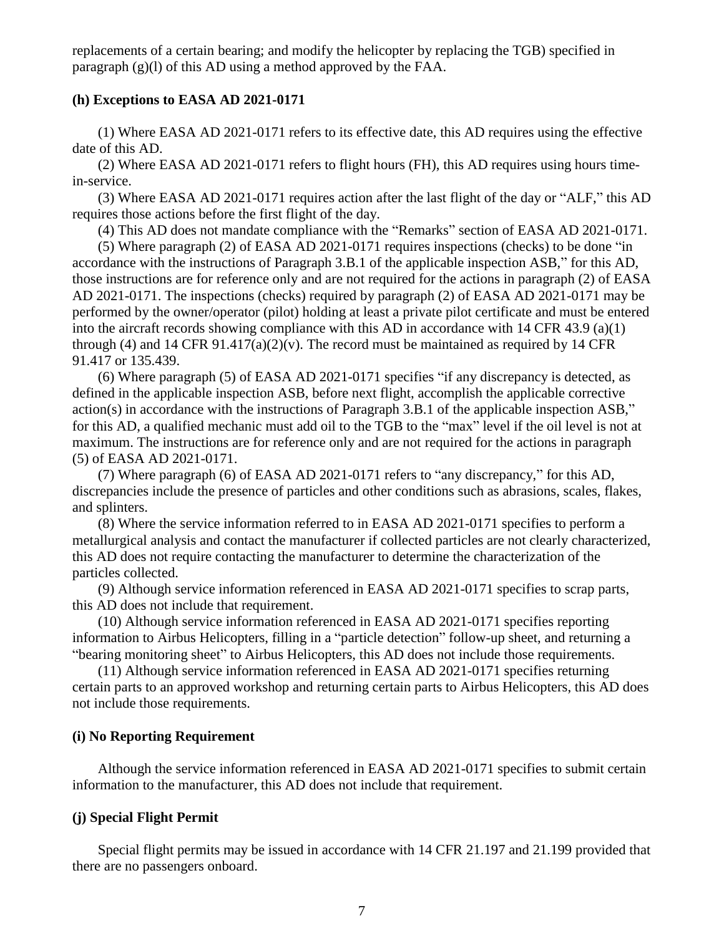replacements of a certain bearing; and modify the helicopter by replacing the TGB) specified in paragraph (g)(l) of this AD using a method approved by the FAA.

### **(h) Exceptions to EASA AD 2021-0171**

(1) Where EASA AD 2021-0171 refers to its effective date, this AD requires using the effective date of this AD.

(2) Where EASA AD 2021-0171 refers to flight hours (FH), this AD requires using hours timein-service.

(3) Where EASA AD 2021-0171 requires action after the last flight of the day or "ALF," this AD requires those actions before the first flight of the day.

(4) This AD does not mandate compliance with the "Remarks" section of EASA AD 2021-0171.

(5) Where paragraph (2) of EASA AD 2021-0171 requires inspections (checks) to be done "in accordance with the instructions of Paragraph 3.B.1 of the applicable inspection ASB," for this AD, those instructions are for reference only and are not required for the actions in paragraph (2) of EASA AD 2021-0171. The inspections (checks) required by paragraph (2) of EASA AD 2021-0171 may be performed by the owner/operator (pilot) holding at least a private pilot certificate and must be entered into the aircraft records showing compliance with this AD in accordance with 14 CFR 43.9 (a)(1) through (4) and 14 CFR  $91.417(a)(2)(v)$ . The record must be maintained as required by 14 CFR 91.417 or 135.439.

(6) Where paragraph (5) of EASA AD 2021-0171 specifies "if any discrepancy is detected, as defined in the applicable inspection ASB, before next flight, accomplish the applicable corrective action(s) in accordance with the instructions of Paragraph 3.B.1 of the applicable inspection ASB," for this AD, a qualified mechanic must add oil to the TGB to the "max" level if the oil level is not at maximum. The instructions are for reference only and are not required for the actions in paragraph (5) of EASA AD 2021-0171.

(7) Where paragraph (6) of EASA AD 2021-0171 refers to "any discrepancy," for this AD, discrepancies include the presence of particles and other conditions such as abrasions, scales, flakes, and splinters.

(8) Where the service information referred to in EASA AD 2021-0171 specifies to perform a metallurgical analysis and contact the manufacturer if collected particles are not clearly characterized, this AD does not require contacting the manufacturer to determine the characterization of the particles collected.

(9) Although service information referenced in EASA AD 2021-0171 specifies to scrap parts, this AD does not include that requirement.

(10) Although service information referenced in EASA AD 2021-0171 specifies reporting information to Airbus Helicopters, filling in a "particle detection" follow-up sheet, and returning a "bearing monitoring sheet" to Airbus Helicopters, this AD does not include those requirements.

(11) Although service information referenced in EASA AD 2021-0171 specifies returning certain parts to an approved workshop and returning certain parts to Airbus Helicopters, this AD does not include those requirements.

### **(i) No Reporting Requirement**

Although the service information referenced in EASA AD 2021-0171 specifies to submit certain information to the manufacturer, this AD does not include that requirement.

### **(j) Special Flight Permit**

Special flight permits may be issued in accordance with 14 CFR 21.197 and 21.199 provided that there are no passengers onboard.